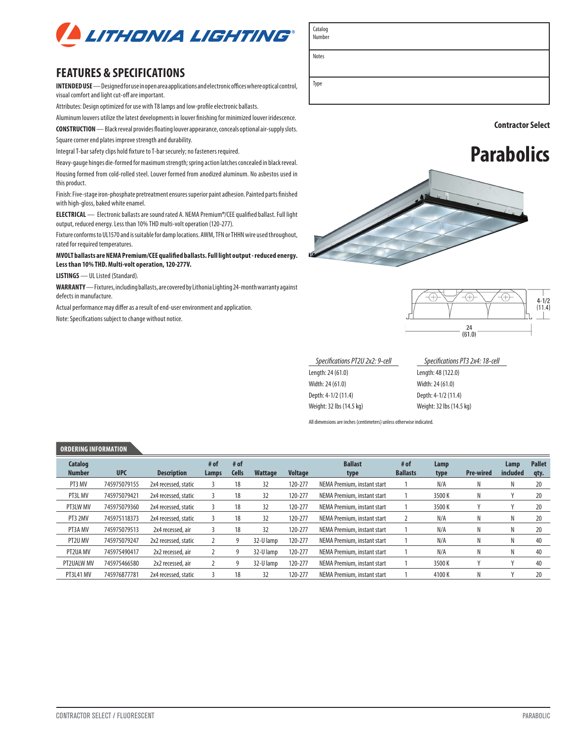

## **FEATURES & SPECIFICATIONS**

**INTENDED USE** — Designed for use in open area applications and electronic offices where optical control, visual comfort and light cut-off are important.

Attributes: Design optimized for use with T8 lamps and low-profile electronic ballasts.

Aluminum louvers utilize the latest developments in louver finishing for minimized louver iridescence.

**CONSTRUCTION** — Black reveal provides floating louver appearance, conceals optional air-supply slots. Square corner end plates improve strength and durability.

Integral T-bar safety clips hold fixture to T-bar securely; no fasteners required.

Heavy-gauge hinges die-formed for maximum strength; spring action latches concealed in black reveal. Housing formed from cold-rolled steel. Louver formed from anodized aluminum. No asbestos used in this product.

Finish: Five-stage iron-phosphate pretreatment ensures superior paint adhesion. Painted parts finished with high-gloss, baked white enamel.

**ELECTRICAL** — Electronic ballasts are sound rated A. NEMA Premium**®**/CEE qualified ballast. Full light output, reduced energy. Less than 10% THD multi-volt operation (120-277).

Fixture conforms to UL1570 and is suitable for damp locations. AWM, TFN or THHN wire used throughout, rated for required temperatures.

**MVOLT ballasts are NEMA Premium/CEE qualified ballasts. Full light output - reduced energy. Less than 10% THD. Multi-volt operation, 120-277V.**

**LISTINGS** — UL Listed (Standard).

**WARRANTY** — Fixtures, including ballasts, are covered by Lithonia Lighting 24-month warranty against defects in manufacture.

Actual performance may differ as a result of end-user environment and application. Note: Specifications subject to change without notice.



**Contractor Select** 





| Specifications PT2U 2x2: 9-cell | Specifications PT3 2x4: 18-cell |
|---------------------------------|---------------------------------|
| Length: 24 (61.0)               | Length: 48 (122.0)              |
| Width: 24 (61.0)                | Width: 24 (61.0)                |
| Depth: 4-1/2 (11.4)             | Depth: 4-1/2 (11.4)             |
| Weight: 32 lbs (14.5 kg)        | Weight: 32 lbs (14.5 kg)        |
|                                 |                                 |

All dimensions are inches (centimeters) unless otherwise indicated.

#### **ORDERING INFORMATION**

| <b>Catalog</b><br><b>Number</b> | <b>UPC</b>   | <b>Description</b>   | # of<br>Lamps | # of<br><b>Cells</b> | Wattage   | <b>Voltage</b> | <b>Ballast</b><br>type      | # of<br><b>Ballasts</b> | Lamp<br>type | <b>Pre-wired</b> | Lamp<br>included | <b>Pallet</b><br>qty. |
|---------------------------------|--------------|----------------------|---------------|----------------------|-----------|----------------|-----------------------------|-------------------------|--------------|------------------|------------------|-----------------------|
| PT3 MV                          | 745975079155 | 2x4 recessed, static |               | 18                   | 32        | 120-277        | NEMA Premium, instant start |                         | N/A          | N                |                  | 20                    |
| PT3L MV                         | 745975079421 | 2x4 recessed, static |               | 18                   | 32        | 120-277        | NEMA Premium, instant start |                         | 3500K        | N                |                  | 20                    |
| PT3LW MV                        | 745975079360 | 2x4 recessed, static |               | 18                   | 32        | 120-277        | NEMA Premium, instant start |                         | 3500K        |                  |                  | 20                    |
| PT3 2MV                         | 745975118373 | 2x4 recessed, static |               | 18                   | 32        | 120-277        | NEMA Premium, instant start |                         | N/A          | N                |                  | 20                    |
| PT3A MV                         | 745975079513 | 2x4 recessed, air    |               | 18                   | 32        | 120-277        | NEMA Premium, instant start |                         | N/A          | Ν                |                  | 20                    |
| PT2U MV                         | 745975079247 | 2x2 recessed, static |               |                      | 32-U lamp | 120-277        | NEMA Premium, instant start |                         | N/A          | N                |                  | 40                    |
| PT2UA MV                        | 745975490417 | 2x2 recessed, air    |               | 9                    | 32-U lamp | 120-277        | NEMA Premium, instant start |                         | N/A          | N                |                  | 40                    |
| PT2UALW MV                      | 745975466580 | 2x2 recessed, air    |               | g                    | 32-U lamp | 120-277        | NEMA Premium, instant start |                         | 3500K        |                  |                  | 40                    |
| PT3L41 MV                       | 745976877781 | 2x4 recessed, static |               | 18                   | 32        | 120-277        | NEMA Premium, instant start |                         | 4100K        | N                |                  | 20                    |